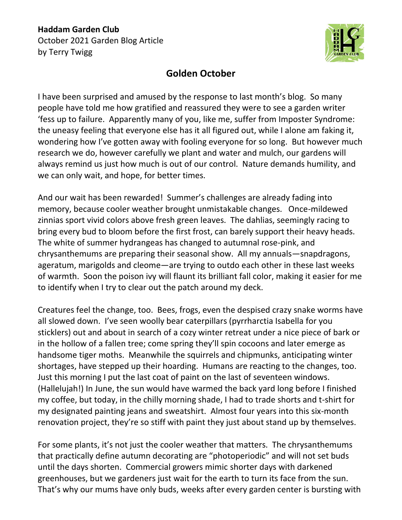## **Haddam Garden Club** October 2021 Garden Blog Article by Terry Twigg



## **Golden October**

I have been surprised and amused by the response to last month's blog. So many people have told me how gratified and reassured they were to see a garden writer 'fess up to failure. Apparently many of you, like me, suffer from Imposter Syndrome: the uneasy feeling that everyone else has it all figured out, while I alone am faking it, wondering how I've gotten away with fooling everyone for so long. But however much research we do, however carefully we plant and water and mulch, our gardens will always remind us just how much is out of our control. Nature demands humility, and we can only wait, and hope, for better times.

And our wait has been rewarded! Summer's challenges are already fading into memory, because cooler weather brought unmistakable changes. Once-mildewed zinnias sport vivid colors above fresh green leaves. The dahlias, seemingly racing to bring every bud to bloom before the first frost, can barely support their heavy heads. The white of summer hydrangeas has changed to autumnal rose-pink, and chrysanthemums are preparing their seasonal show. All my annuals—snapdragons, ageratum, marigolds and cleome—are trying to outdo each other in these last weeks of warmth. Soon the poison ivy will flaunt its brilliant fall color, making it easier for me to identify when I try to clear out the patch around my deck.

Creatures feel the change, too. Bees, frogs, even the despised crazy snake worms have all slowed down. I've seen woolly bear caterpillars (pyrrharctia Isabella for you sticklers) out and about in search of a cozy winter retreat under a nice piece of bark or in the hollow of a fallen tree; come spring they'll spin cocoons and later emerge as handsome tiger moths. Meanwhile the squirrels and chipmunks, anticipating winter shortages, have stepped up their hoarding. Humans are reacting to the changes, too. Just this morning I put the last coat of paint on the last of seventeen windows. (Hallelujah!) In June, the sun would have warmed the back yard long before I finished my coffee, but today, in the chilly morning shade, I had to trade shorts and t-shirt for my designated painting jeans and sweatshirt. Almost four years into this six-month renovation project, they're so stiff with paint they just about stand up by themselves.

For some plants, it's not just the cooler weather that matters. The chrysanthemums that practically define autumn decorating are "photoperiodic" and will not set buds until the days shorten. Commercial growers mimic shorter days with darkened greenhouses, but we gardeners just wait for the earth to turn its face from the sun. That's why our mums have only buds, weeks after every garden center is bursting with